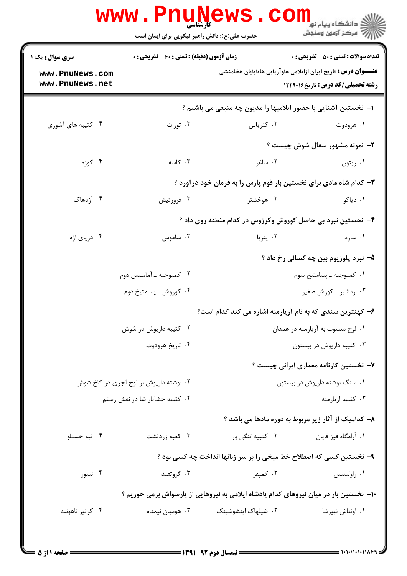|                                                              |                                                    |                                                                                       | <b>تعداد سوالات : تستي : 50 ٪ تشريحي : 0</b> |
|--------------------------------------------------------------|----------------------------------------------------|---------------------------------------------------------------------------------------|----------------------------------------------|
| <b>سری سوال :</b> یک ۱<br>www.PnuNews.com<br>www.PnuNews.net | <b>زمان آزمون (دقیقه) : تستی : 60 ٪ تشریحی : 0</b> | <b>عنــــوان درس:</b> تاریخ ایران ازایلامی هاوآریایی هاتاپایان هخامنشی                | <b>رشته تحصیلی/کد درس:</b> تاریخ۱۲۲۹۰۱۶      |
|                                                              |                                                    | ا–  نخستین آشنایی با حضور ایلامیها را مدیون چه منبعی می باشیم ؟                       |                                              |
| ۰۴ کتیبه های آشوری                                           | ۰۳ تورات                                           | ۰۲ کتزیاس                                                                             | ۰۱ هرودوت                                    |
|                                                              |                                                    |                                                                                       | ۲- نمونه مشهور سفال شوش چیست ؟               |
| ۰۴ کوزه                                                      | ۰۳ کاسه                                            | ۰۲ ساغر                                                                               | ۰۱ ريتون                                     |
|                                                              |                                                    | ۳- کدام شاه مادی برای نخستین بار قوم پارس را به فرمان خود درآورد ؟                    |                                              |
| ۰۴ آژدهاک                                                    | ۰۳ فرورتيش                                         | ۰۲ هوخشتر                                                                             | ۰۱ دیاکو                                     |
|                                                              |                                                    | ۴- نخستین نبرد بی حاصل کوروش وکرزوس در کدام منطقه روی داد ؟                           |                                              |
| ۰۴ دریای اژه                                                 | ۰۳ ساموس $\cdot$                                   | ۰۲ پتريا                                                                              | ۰۱ سارد                                      |
|                                                              |                                                    |                                                                                       | ۵– نبرد پلوزیوم بین چه کسانی رخ داد ؟        |
|                                                              | ۰۲ کمبوجیه ـ آماسیس دوم                            |                                                                                       | ۰۱ کمبوجیه ـ پسامتیخ سوم                     |
|                                                              | ۰۴ کوروش ـ پسامتيخ دوم                             |                                                                                       | ۰۳ اردشیر ـ کورش صغیر                        |
|                                                              |                                                    | ۶– کهنترین سندی که به نام آریارمنه اشاره می کند کدام است؟                             |                                              |
|                                                              | ۰۲ کتیبه داریوش در شوش                             | ٠١ لوح منسوب به آريارمنه در همدان                                                     |                                              |
|                                                              | ۰۴ تاريخ هرودوت                                    |                                                                                       | ۰۳ کتیبه داریوش در بیستون                    |
|                                                              |                                                    |                                                                                       | ۷- نخستین کارنامه معماری ایرانی چیست ؟       |
|                                                              | ۰۲ نوشته داریوش بر لوح آجری در کاخ شوش             |                                                                                       | ۰۱ سنگ نوشته داریوش در بیستون                |
|                                                              | ۰۴ کتیبه خشایار شا در نقش رستم                     |                                                                                       | ۰۳ کتیبه اریارمنه                            |
|                                                              |                                                    | ۸- کدامیک از آثار زیر مربوط به دوره مادها می باشد ؟                                   |                                              |
| ۰۴ تپه حسنلو                                                 | ۰۳ كعبه زردتشت                                     | ۰۲ کتبیه تنگی ور                                                                      | ۰۱ آرامگاه قيز قاپان                         |
|                                                              |                                                    | ۹- نخستین کسی که اصطلاح خط میخی را بر سر زبانها انداخت چه کسی بود ؟                   |                                              |
| ۰۴ نیبور                                                     | ۰۳ گروتفند                                         | ۰۲ کمپفر                                                                              | ٠١ راولينسن                                  |
|                                                              |                                                    | ∙۱− نخستین بار در میان نیروهای کدام پادشاه ایلامی به نیروهایی از پارسواش برمی خوریم ؟ |                                              |
| ۰۴ کرتیر ناهونته                                             | ۰۳ هومبان نیمناه                                   | ۰۲ شیلهاک اینشوشینک                                                                   | ۰۱ اونتاش نپیرشا                             |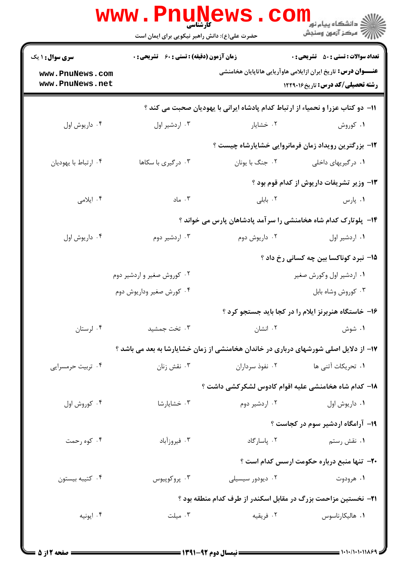|                                    | <b>www.PnuNews</b><br>کارشناسی<br>حضرت علی(ع): دانش راهبر نیکویی برای ایمان است |                                                                                 | ڪ دانشڪاه پيا <sub>م</sub> نور<br><mark>ر</mark> 7 مرڪز آزمون وسنڊش                                                |
|------------------------------------|---------------------------------------------------------------------------------|---------------------------------------------------------------------------------|--------------------------------------------------------------------------------------------------------------------|
| <b>سری سوال : ۱ یک</b>             | <b>زمان آزمون (دقیقه) : تستی : 60 ٪ تشریحی : 0</b>                              |                                                                                 | <b>تعداد سوالات : تستی : 50 ٪ تشریحی : 0</b>                                                                       |
| www.PnuNews.com<br>www.PnuNews.net |                                                                                 |                                                                                 | <b>عنــــوان درس:</b> تاریخ ایران ازایلامی هاوآریایی هاتاپایان هخامنشی<br><b>رشته تحصیلی/کد درس:</b> تاریخ ۱۲۲۹۰۱۶ |
|                                    |                                                                                 | 11- دو کتاب عزرا و نحمیاء از ارتباط کدام پادشاه ایرانی با یهودیان صحبت می کند ؟ |                                                                                                                    |
| ۰۴ داریوش اول                      | ۰۳ اردشير اول                                                                   | ۰۲ خشایار                                                                       | ۰۱ کوروش                                                                                                           |
|                                    |                                                                                 |                                                                                 | ۱۲- بزرگترین رویداد زمان فرمانروایی خشایارشاه چیست ؟                                                               |
| ۰۴ ارتباط با يهوديان               | ۰۳ درگیری با سکاها                                                              | ٠٢ جنگ با يونان                                                                 | ۰۱ درگیریهای داخلی                                                                                                 |
|                                    |                                                                                 |                                                                                 | 13- وزیر تشریفات داریوش از کدام قوم بود ؟                                                                          |
| ۰۴ ايلامي                          | ۰۳ ماد                                                                          | ٠٢ بابلى                                                                        | ۰۱ پارس                                                                                                            |
|                                    |                                                                                 |                                                                                 | ۱۴- پلوتارک کدام شاه هخامنشی را سرآمد پادشاهان پارس می خواند ؟                                                     |
| ۰۴ داریوش اول                      | ۰۳ اردشیر دوم                                                                   | ۰۲ داریوش دوم                                                                   | ٠١. اردشير اول                                                                                                     |
|                                    |                                                                                 |                                                                                 | 1۵– نبرد کوناکسا بین چه کسانی رخ داد ؟                                                                             |
|                                    | ۰۲ کوروش صغیر و اردشیر دوم                                                      |                                                                                 | ۰۱ اردشیر اول وکورش صغیر                                                                                           |
|                                    | ۰۴ کورش صغیر وداریوش دوم                                                        |                                                                                 | ۰۳ کوروش وشاه بابل                                                                                                 |
|                                    |                                                                                 |                                                                                 | ۱۶- خاستگاه هنربرنز ایلام را در کجا باید جستجو کرد ؟                                                               |
| ۰۴ لرستان                          | ۰۳ تخت جمشید                                                                    |                                                                                 | ۲. انشان<br>۰۱ شوش                                                                                                 |
|                                    |                                                                                 |                                                                                 | ۱۷– از دلایل اصلی شورشهای درباری در خاندان هخامنشی از زمان خشایارشا به بعد می باشد ؟                               |
| ۰۴ تربیت حرمسرایی                  | نقش زنان $\cdot$ ۳                                                              | ۰۲ نفوذ سرداران                                                                 | ۰۱ تحریکات آتنی ها                                                                                                 |
|                                    |                                                                                 |                                                                                 | ۱۸– کدام شاه هخامنشی علیه اقوام کادوس لشکرکشی داشت ؟                                                               |
| ۰۴ کوروش اول                       | ۰۳ خشایارشا                                                                     | ۰۲ اردشیر دوم                                                                   | ۰۱ داریوش اول                                                                                                      |
|                                    |                                                                                 |                                                                                 | ۱۹- آرامگاه اردشیر سوم در کجاست ؟                                                                                  |
| ۰۴ کوه رحمت                        | ۰۳ فیروزآباد                                                                    | ۰۲ پاسارگاد                                                                     | ۰۱ نقش رستم                                                                                                        |
|                                    |                                                                                 |                                                                                 | <b>۲۰</b> - تنها منبع درباره حکومت ارسس کدام است ؟                                                                 |
| ۰۴ کتیبه بیستون                    | ۰۳ پروکوپیوس                                                                    | ۰۲ دیودور سیسیلی                                                                | ۰۱ هرودوت                                                                                                          |
|                                    |                                                                                 |                                                                                 | <b>۲۱</b> - نخستین مزاحمت بزرگ در مقابل اسکندر از طرف کدام منطقه بود ؟                                             |
| ۰۴ ايونيه                          | ۰۳ میلت                                                                         | ۰۲ فریقیه                                                                       | ۰۱ هالیکارناسوس                                                                                                    |
|                                    |                                                                                 |                                                                                 |                                                                                                                    |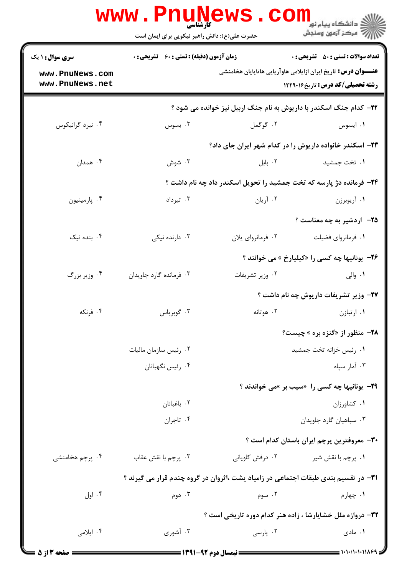|                                    | <b>www.PnuNews</b><br>حضرت علی(ع): دانش راهبر نیکویی برای ایمان است | CO.<br>کارشناسی                     | لاد دانشگاه پيام نور <mark>-</mark><br>  /> مرکز آزمون وسنڊش                                                      |
|------------------------------------|---------------------------------------------------------------------|-------------------------------------|-------------------------------------------------------------------------------------------------------------------|
| <b>سری سوال : ۱ یک</b>             | <b>زمان آزمون (دقیقه) : تستی : 60 ٪ تشریحی : 0</b>                  |                                     | <b>تعداد سوالات : تستي : 50 ٪ تشريحي : 0</b>                                                                      |
| www.PnuNews.com<br>www.PnuNews.net |                                                                     |                                     | <b>عنــــوان درس:</b> تاریخ ایران ازایلامی هاوآریایی هاتاپایان هخامنشی<br><b>رشته تحصیلی/کد درس:</b> تاریخ۱۲۲۹۰۱۶ |
|                                    |                                                                     |                                     | ۲۲- کدام جنگ اسکندر با داریوش به نام جنگ اربیل نیز خوانده می شود ؟                                                |
| ۰۴ نبرد گرانیکوس                   | بسوس $\cdot$ ۳                                                      | ۰۲ گوگمل                            | ۰۱ ایسوس                                                                                                          |
|                                    |                                                                     |                                     | ۲۳- اسکندر خانواده داریوش را در کدام شهر ایران جای داد؟                                                           |
| ۰۴ همدان                           | ۰۳ شوش                                                              | ۰۲ بابل                             | ۰۱ تخت جمشید                                                                                                      |
|                                    |                                                                     |                                     | ۲۴- فرمانده دژ پارسه که تخت جمشید را تحویل اسکندر داد چه نام داشت ؟                                               |
| ۰۴ پارمينيون                       | ۰۳ تیرداد                                                           | ۰۲ آریان                            | ۰۱ آریوبرزن                                                                                                       |
|                                    |                                                                     |                                     | <b>۲۵</b> - اردشیر به چه معناست ؟                                                                                 |
| ۰۴ بنده نیک                        | ۰۳ دارنده نیکی                                                      | ۰۲ فرمانروای پلان                   | ۰۱ فرمانروای فضیلت                                                                                                |
|                                    |                                                                     |                                     | <b>۲۶</b> - یونانیها چه کسی را «کیلیارخ » می خوانند ؟                                                             |
| ۰۴ وزیر بزرگ                       | ۰۳ فرمانده گارد جاویدان                                             | ۰۲ وزير تشريفات                     | ۰۱ والی                                                                                                           |
|                                    |                                                                     |                                     | <b>۲۷- وزیر تشریفات داریوش چه نام داشت</b> ؟                                                                      |
| ۰۴ فرنکه                           | ۰۳ گوبرياس                                                          | ۰۲ هوتانه                           | ۰۱ ارتبازن                                                                                                        |
|                                    |                                                                     |                                     | <b>78- منظور از «گنزه بره » چیست؟</b>                                                                             |
|                                    | ۰۲ رئیس سازمان مالیات                                               |                                     | ٠١. رئيس خزانه تخت جمشيد                                                                                          |
|                                    | ۰۴ رئيس نگهبانان                                                    |                                     | ۰۳ آمار سپاه                                                                                                      |
|                                    |                                                                     |                                     | <b>۲۹</b> - یونانیها چه کسی را «سیب بر »می خواندند ؟                                                              |
|                                    | ۰۲ باغبانان                                                         |                                     | ٠١ كشاورزان                                                                                                       |
|                                    | ۰۴ تاجران                                                           |                                     | ۰۳ سپاهيان گارد جاويدان                                                                                           |
|                                    |                                                                     |                                     | ۳۰– معروفترین پرچم ایران باستان کدام است ؟                                                                        |
| ۰۴ پرچم هخامنشی                    | ۰۳ پرچم با نقش عقاب                                                 | ۰۲ درفش کاویانی                     | ۰۱ پرچم با نقش شیر                                                                                                |
|                                    |                                                                     |                                     | ۳۱– در تقسیم بندی طبقات اجتماعی در زامیاد یشت ،اثروان در گروه چندم قرار می گیرند ؟                                |
| ۰۴ اول                             | ۰۳ دوم                                                              | ۰۲ سوم                              | ۰۱ چهارم                                                                                                          |
|                                    |                                                                     |                                     | 32- دروازه ملل خشایارشا ، زاده هنر کدام دوره تاریخی است ؟                                                         |
| ۰۴ ايلامي                          | ۰۳ آشوري                                                            | ۰۲ پارسی                            | ۰۱ مادی                                                                                                           |
|                                    |                                                                     | $=$ 1791 $=$ 97 and 11 and 2000 $=$ | = 1.1./1.1.1189=                                                                                                  |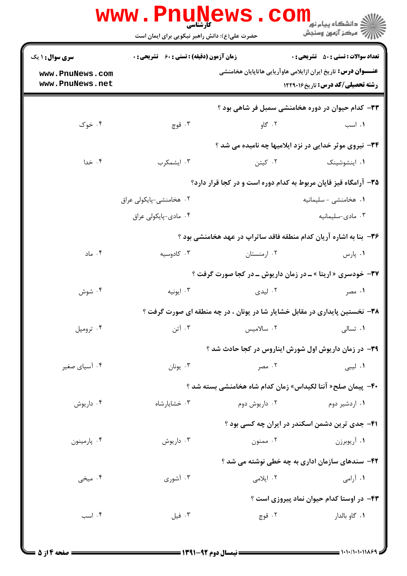|                                                              | <b>WWW.PNUNEWS</b><br><b>کارشناسی</b><br>حضرت علی(ع): دانش راهبر نیکویی برای ایمان است |               | $\text{Coll}_{\mathbb{Z}^{\text{alg}}}$ دانشگاه پیام نور<br>ج ' مرڪز آزمون وسنڊش                                                                                  |
|--------------------------------------------------------------|----------------------------------------------------------------------------------------|---------------|-------------------------------------------------------------------------------------------------------------------------------------------------------------------|
| <b>سری سوال :</b> ۱ یک<br>www.PnuNews.com<br>www.PnuNews.net | <b>زمان آزمون (دقیقه) : تستی : 60 ٪ تشریحی : 0</b>                                     |               | <b>تعداد سوالات : تستي : 50 ٪ تشريحي : 0</b><br><b>عنــــوان درس:</b> تاریخ ایران ازایلامی هاوآریایی هاتاپایان هخامنشی<br><b>رشته تحصیلی/کد درس:</b> تاریخ۱۲۲۹۰۱۶ |
|                                                              |                                                                                        |               | ۳۳– کدام حیوان در دوره هخامنشی سمبل فر شاهی بود ؟                                                                                                                 |
| ۰۴ خوک                                                       | ۰۳ قوچ                                                                                 | ۰۲ گاو        | ٠١. اسب                                                                                                                                                           |
|                                                              |                                                                                        |               | ۳۴- نیروی موثر خدایی در نزد ایلامیها چه نامیده می شد ؟                                                                                                            |
| ۰۴ خدا                                                       | ۰۳ ایشمکرب                                                                             | ۰۲ کیتن       | ۰۱ اینشوشینک                                                                                                                                                      |
|                                                              |                                                                                        |               | ۳۵- آرامگاه قیز قاپان مربوط به کدام دوره است و در کجا قرار دارد؟                                                                                                  |
|                                                              | ۰۲ هخامنشی-پایکولی عراق                                                                |               | ۰۱ هخامنشی - سلیمانیه                                                                                                                                             |
|                                                              | ۰۴ مادي-پايكولي عراق                                                                   |               | ۰۳ مادی-سلیمانیه                                                                                                                                                  |
|                                                              |                                                                                        |               | <b>۳۶</b> - بنا به اشاره آریان کدام منطقه فاقد ساتراپ در عهد هخامنشی بود ؟                                                                                        |
| ۰۴ ماد                                                       | ۰۳ کادوسیه                                                                             | ۰۲ ارمنستان   | ۰۱ پارس                                                                                                                                                           |
|                                                              |                                                                                        |               | <b>۳۷- خودسری «اریتا » ـ در زمان داریوش ـ در کجا صورت گرفت</b> ؟                                                                                                  |
| ۰۴ شوش                                                       | ۰۳ ايونيه                                                                              | ۰۲ لیدی       | ۰۱ مصر                                                                                                                                                            |
|                                                              |                                                                                        |               | ۳۸- نخستین پایداری در مقابل خشایار شا در یونان ، در چه منطقه ای صورت گرفت ؟                                                                                       |
| ۰۴ ترومپل                                                    | ۰۳ آتن                                                                                 | ۰۲ سالامیس    | ٠١ تسالى                                                                                                                                                          |
|                                                              |                                                                                        |               | ۳۹- در زمان داریوش اول شورش ایناروس در کجا حادث شد ؟                                                                                                              |
| ۰۴ آسیای صغیر                                                | ۰۳ يونان                                                                               | ۰۲ مصر        | ۰۱ لیبی                                                                                                                                                           |
|                                                              |                                                                                        |               | ۴۰–  پیمان صلح« آنتا لکیداس» زمان کدام شاه هخامنشی بسته شد ؟                                                                                                      |
| ۰۴ داریوش                                                    | ۰۳ خشایارشاه                                                                           | ۰۲ داریوش دوم | ۰۱ اردشیر دوم                                                                                                                                                     |
|                                                              |                                                                                        |               | ۴۱- جدی ترین دشمن اسکندر در ایران چه کسی بود ؟                                                                                                                    |
| ۰۴ پارمينون                                                  | ۰۳ داریوش                                                                              | ۰۲ ممنون      | ۰۱ آریوبرزن                                                                                                                                                       |
|                                                              |                                                                                        |               | ۴۲- سندهای سازمان اداری به چه خطی نوشته می شد ؟                                                                                                                   |
| ۰۴ میخی                                                      | ۰۳ آشوري                                                                               | ۰۲ ایلامی     | ۰۱ آرامی                                                                                                                                                          |
|                                                              |                                                                                        |               | ۴۳- در اوستا کدام حیوان نماد پیروزی است ؟                                                                                                                         |
| ۰۴ اسب                                                       | ۰۳ فیل                                                                                 | ۰۲ قوچ        | ۰۱ گاو بالدار                                                                                                                                                     |
|                                                              |                                                                                        |               |                                                                                                                                                                   |